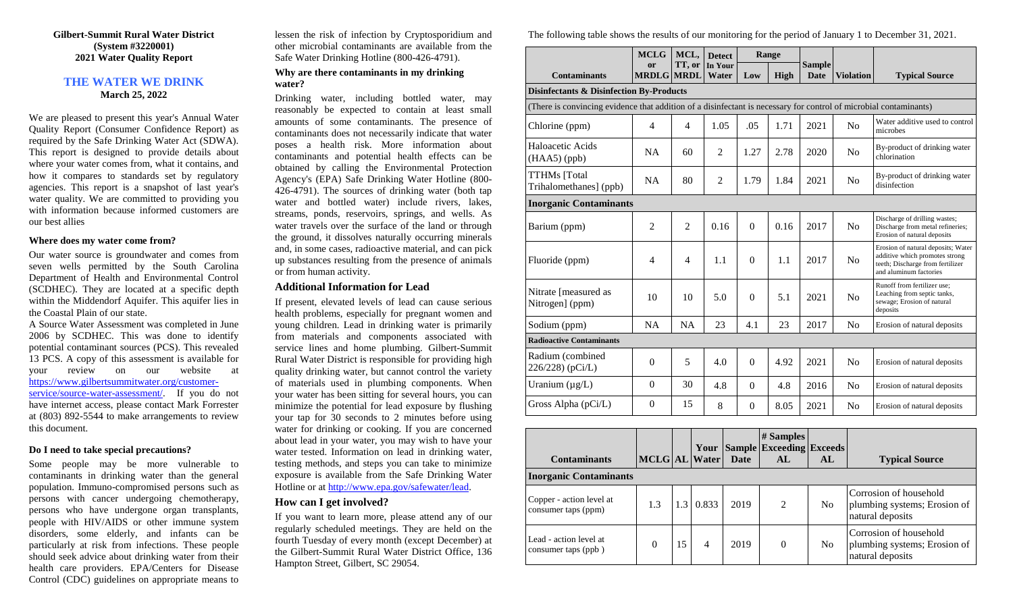#### **Gilbert-Summit Rural Water District (System #3220001) 2021 Water Quality Report**

## **THE WATER WE DRINK March 25, 2022**

We are pleased to present this year's Annual Water Quality Report (Consumer Confidence Report) as required by the Safe Drinking Water Act (SDWA). This report is designed to provide details about where your water comes from, what it contains, and how it compares to standards set by regulatory agencies. This report is a snapshot of last year's water quality. We are committed to providing you with information because informed customers are our best allies

#### **Where does my water come from?**

Our water source is groundwater and comes from seven wells permitted by the South Carolina Department of Health and Environmental Control (SCDHEC). They are located at a specific depth within the Middendorf Aquifer. This aquifer lies in the Coastal Plain of our state.

A Source Water Assessment was completed in June 2006 by SCDHEC. This was done to identify potential contaminant sources (PCS). This revealed 13 PCS. A copy of this assessment is available for your review on our website at [https://www.gilbertsummitwater.org/customer](https://www.gilbertsummitwater.org/customer-service/source-water-assessment/)[service/source-water-assessment/.](https://www.gilbertsummitwater.org/customer-service/source-water-assessment/) If you do not have internet access, please contact Mark Forrester at (803) 892-5544 to make arrangements to review this document.

### **Do I need to take special precautions?**

Some people may be more vulnerable to contaminants in drinking water than the general population. Immuno-compromised persons such as persons with cancer undergoing chemotherapy, persons who have undergone organ transplants, people with HIV/AIDS or other immune system disorders, some elderly, and infants can be particularly at risk from infections. These people should seek advice about drinking water from their health care providers. EPA/Centers for Disease Control (CDC) guidelines on appropriate means to

lessen the risk of infection by Cryptosporidium and other microbial contaminants are available from the Safe Water Drinking Hotline (800-426-4791).

### **Why are there contaminants in my drinking water?**

Drinking water, including bottled water, may reasonably be expected to contain at least small amounts of some contaminants. The presence of contaminants does not necessarily indicate that water poses a health risk. More information about contaminants and potential health effects can be obtained by calling the Environmental Protection Agency's (EPA) Safe Drinking Water Hotline (800- 426-4791). The sources of drinking water (both tap water and bottled water) include rivers, lakes, streams, ponds, reservoirs, springs, and wells. As water travels over the surface of the land or through the ground, it dissolves naturally occurring minerals and, in some cases, radioactive material, and can pick up substances resulting from the presence of animals or from human activity.

# **Additional Information for Lead**

If present, elevated levels of lead can cause serious health problems, especially for pregnant women and young children. Lead in drinking water is primarily from materials and components associated with service lines and home plumbing. Gilbert-Summit Rural Water District is responsible for providing high quality drinking water, but cannot control the variety of materials used in plumbing components. When your water has been sitting for several hours, you can minimize the potential for lead exposure by flushing your tap for 30 seconds to 2 minutes before using water for drinking or cooking. If you are concerned about lead in your water, you may wish to have your water tested. Information on lead in drinking water, testing methods, and steps you can take to minimize exposure is available from the Safe Drinking Water Hotline or a[t http://www.epa.gov/safewater/lead.](http://www.epa.gov/safewater/lead)

# **How can I get involved?**

If you want to learn more, please attend any of our regularly scheduled meetings. They are held on the fourth Tuesday of every month (except December) at the Gilbert-Summit Rural Water District Office, 136 Hampton Street, Gilbert, SC 29054.

The following table shows the results of our monitoring for the period of January 1 to December 31, 2021.

|                                                                                                                   | <b>MCLG</b>    | MCL,           | <b>Detect</b>  |                  | Range       |               |                  |                                                                                                                                    |
|-------------------------------------------------------------------------------------------------------------------|----------------|----------------|----------------|------------------|-------------|---------------|------------------|------------------------------------------------------------------------------------------------------------------------------------|
|                                                                                                                   | <b>or</b>      | TT, or         | In Your        |                  |             | <b>Sample</b> |                  |                                                                                                                                    |
| <b>Contaminants</b>                                                                                               | <b>MRDLG</b>   | <b>MRDL</b>    | Water          | Low              | <b>High</b> | <b>Date</b>   | <b>Violation</b> | <b>Typical Source</b>                                                                                                              |
| <b>Disinfectants &amp; Disinfection By-Products</b>                                                               |                |                |                |                  |             |               |                  |                                                                                                                                    |
| (There is convincing evidence that addition of a disinfectant is necessary for control of microbial contaminants) |                |                |                |                  |             |               |                  |                                                                                                                                    |
| Chlorine (ppm)                                                                                                    | $\overline{4}$ | $\overline{4}$ | 1.05           | .05              | 1.71        | 2021          | N <sub>0</sub>   | Water additive used to control<br>microbes                                                                                         |
| Haloacetic Acids<br>$(HAA5)$ (ppb)                                                                                | <b>NA</b>      | 60             | 2              | 1.27             | 2.78        | 2020          | N <sub>o</sub>   | By-product of drinking water<br>chlorination                                                                                       |
| <b>TTHMs</b> [Total<br>Trihalomethanes] (ppb)                                                                     | <b>NA</b>      | 80             | $\overline{2}$ | 1.79             | 1.84        | 2021          | N <sub>o</sub>   | By-product of drinking water<br>disinfection                                                                                       |
| <b>Inorganic Contaminants</b>                                                                                     |                |                |                |                  |             |               |                  |                                                                                                                                    |
| Barium (ppm)                                                                                                      | 2              | 2              | 0.16           | $\Omega$         | 0.16        | 2017          | N <sub>0</sub>   | Discharge of drilling wastes;<br>Discharge from metal refineries;<br>Erosion of natural deposits                                   |
| Fluoride (ppm)                                                                                                    | $\overline{4}$ | $\overline{4}$ | 1.1            | $\Omega$         | 1.1         | 2017          | No               | Erosion of natural deposits; Water<br>additive which promotes strong<br>teeth; Discharge from fertilizer<br>and aluminum factories |
| Nitrate [measured as<br>Nitrogen] (ppm)                                                                           | 10             | 10             | 5.0            | $\theta$         | 5.1         | 2021          | N <sub>o</sub>   | Runoff from fertilizer use;<br>Leaching from septic tanks,<br>sewage; Erosion of natural<br>deposits                               |
| Sodium (ppm)                                                                                                      | <b>NA</b>      | <b>NA</b>      | 23             | 4.1              | 23          | 2017          | N <sub>o</sub>   | Erosion of natural deposits                                                                                                        |
| <b>Radioactive Contaminants</b>                                                                                   |                |                |                |                  |             |               |                  |                                                                                                                                    |
| Radium (combined<br>226/228) (pCi/L)                                                                              | $\mathbf{0}$   | 5              | 4.0            | $\Omega$         | 4.92        | 2021          | N <sub>o</sub>   | Erosion of natural deposits                                                                                                        |
| Uranium $(\mu g/L)$                                                                                               | $\mathbf{0}$   | 30             | 4.8            | $\Omega$         | 4.8         | 2016          | N <sub>o</sub>   | Erosion of natural deposits                                                                                                        |
| Gross Alpha (pCi/L)                                                                                               | $\mathbf{0}$   | 15             | 8              | $\boldsymbol{0}$ | 8.05        | 2021          | No               | Erosion of natural deposits                                                                                                        |

| <b>Contaminants</b>                             | <b>MCLG AL</b> Water |     | Your  | <b>Date</b> | $#$ Samples<br><b>Sample Exceeding Exceeds</b><br>AL | AL             | <b>Typical Source</b>                                                      |
|-------------------------------------------------|----------------------|-----|-------|-------------|------------------------------------------------------|----------------|----------------------------------------------------------------------------|
| <b>Inorganic Contaminants</b>                   |                      |     |       |             |                                                      |                |                                                                            |
| Copper - action level at<br>consumer taps (ppm) | 1.3                  | 1.3 | 0.833 | 2019        | $\mathfrak{D}$                                       | N <sub>o</sub> | Corrosion of household<br>plumbing systems; Erosion of<br>natural deposits |
| Lead - action level at<br>consumer taps (ppb)   | $\theta$             | 15  | 4     | 2019        | $\theta$                                             | N <sub>0</sub> | Corrosion of household<br>plumbing systems; Erosion of<br>natural deposits |